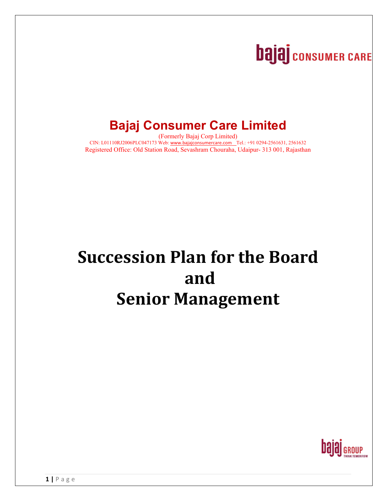# **bajaj** consumer CARE

## **Bajaj Consumer Care Limited**

(Formerly Bajaj Corp Limited) CIN: L01110RJ2006PLC047173 Web: www.bajajconsumercare.com Tel.: +91 0294-2561631, 2561632 Registered Office: Old Station Road, Sevashram Chouraha, Udaipur- 313 001, Rajasthan

## **Succession Plan for the Board and Senior Management**

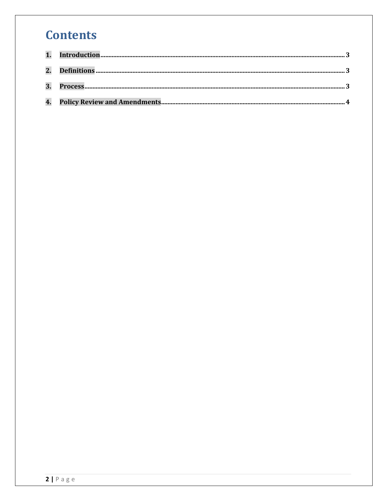### **Contents**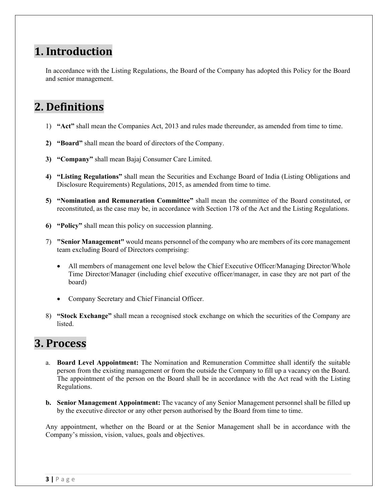#### **1. Introduction**

In accordance with the Listing Regulations, the Board of the Company has adopted this Policy for the Board and senior management.

#### **2.** Definitions

- 1) **"Act"** shall mean the Companies Act, 2013 and rules made thereunder, as amended from time to time.
- **2) "Board"** shall mean the board of directors of the Company.
- **3) "Company"** shall mean Bajaj Consumer Care Limited.
- **4) "Listing Regulations"** shall mean the Securities and Exchange Board of India (Listing Obligations and Disclosure Requirements) Regulations, 2015, as amended from time to time.
- **5) "Nomination and Remuneration Committee"** shall mean the committee of the Board constituted, or reconstituted, as the case may be, in accordance with Section 178 of the Act and the Listing Regulations.
- **6) "Policy"** shall mean this policy on succession planning.
- 7) **"Senior Management"** would means personnel of the company who are members of its core management team excluding Board of Directors comprising:
	- All members of management one level below the Chief Executive Officer/Managing Director/Whole Time Director/Manager (including chief executive officer/manager, in case they are not part of the board)
	- Company Secretary and Chief Financial Officer.
- 8) **"Stock Exchange"** shall mean a recognised stock exchange on which the securities of the Company are listed.

#### **3. Process**

- a. **Board Level Appointment:** The Nomination and Remuneration Committee shall identify the suitable person from the existing management or from the outside the Company to fill up a vacancy on the Board. The appointment of the person on the Board shall be in accordance with the Act read with the Listing Regulations.
- **b. Senior Management Appointment:** The vacancy of any Senior Management personnel shall be filled up by the executive director or any other person authorised by the Board from time to time.

Any appointment, whether on the Board or at the Senior Management shall be in accordance with the Company's mission, vision, values, goals and objectives.